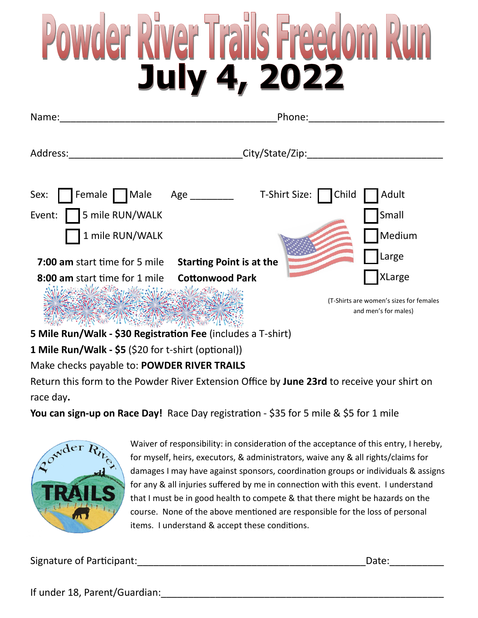## wder River Trails Freedom R<br>July 4, 2022

| Name:                                                        | Phone:                                                          |  |
|--------------------------------------------------------------|-----------------------------------------------------------------|--|
| Address:                                                     | City/State/Zip:                                                 |  |
| Female Male Age ________<br>Sex:                             | Child<br>T-Shirt Size:<br>Adult                                 |  |
| Event:   5 mile RUN/WALK                                     | Small                                                           |  |
| 1 mile RUN/WALK                                              | Medium                                                          |  |
| <b>7:00 am</b> start time for 5 mile                         | Large<br><b>Starting Point is at the</b>                        |  |
| 8:00 am start time for 1 mile                                | <b>XLarge</b><br><b>Cottonwood Park</b>                         |  |
| WESTERNALD                                                   | (T-Shirts are women's sizes for females<br>and men's for males) |  |
| 5 Mile Run/Walk - \$30 Registration Fee (includes a T-shirt) |                                                                 |  |
| 1 Mile Run/Walk - \$5 (\$20 for t-shirt (optional))          |                                                                 |  |

Make checks payable to: **POWDER RIVER TRAILS**

Return this form to the Powder River Extension Office by **June 23rd** to receive your shirt on race day**.** 

**You can sign-up on Race Day!** Race Day registration - \$35 for 5 mile & \$5 for 1 mile



Waiver of responsibility: in consideration of the acceptance of this entry, I hereby, for myself, heirs, executors, & administrators, waive any & all rights/claims for damages I may have against sponsors, coordination groups or individuals & assigns for any & all injuries suffered by me in connection with this event. I understand that I must be in good health to compete & that there might be hazards on the course. None of the above mentioned are responsible for the loss of personal items. I understand & accept these conditions.

Signature of Participant:\_\_\_\_\_\_\_\_\_\_\_\_\_\_\_\_\_\_\_\_\_\_\_\_\_\_\_\_\_\_\_\_\_\_\_\_\_\_\_\_\_\_Date:\_\_\_\_\_\_\_\_\_\_

If under 18, Parent/Guardian: The contraction of the contraction of the contraction of the contraction of the contraction of the contraction of the contraction of the contraction of the contraction of the contraction of th